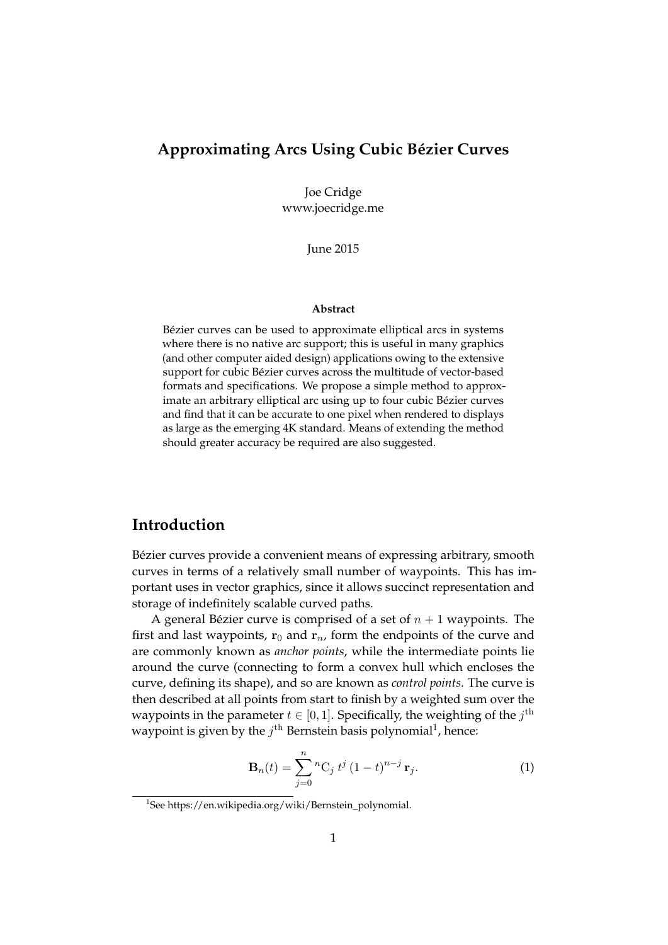### **Approximating Arcs Using Cubic Bézier Curves**

Joe Cridge www.joecridge.me

June 2015

#### **Abstract**

Bézier curves can be used to approximate elliptical arcs in systems where there is no native arc support; this is useful in many graphics (and other computer aided design) applications owing to the extensive support for cubic Bézier curves across the multitude of vector-based formats and specifications. We propose a simple method to approximate an arbitrary elliptical arc using up to four cubic Bézier curves and find that it can be accurate to one pixel when rendered to displays as large as the emerging 4K standard. Means of extending the method should greater accuracy be required are also suggested.

### **Introduction**

Bézier curves provide a convenient means of expressing arbitrary, smooth curves in terms of a relatively small number of waypoints. This has important uses in vector graphics, since it allows succinct representation and storage of indefinitely scalable curved paths.

A general Bézier curve is comprised of a set of  $n + 1$  waypoints. The first and last waypoints,  $r_0$  and  $r_n$ , form the endpoints of the curve and are commonly known as *anchor points*, while the intermediate points lie around the curve (connecting to form a convex hull which encloses the curve, defining its shape), and so are known as *control points*. The curve is then described at all points from start to finish by a weighted sum over the waypoints in the parameter  $t \in [0, 1]$ . Specifically, the weighting of the  $j^{\text{th}}$ waypoint is given by the  $j^{\text{th}}$  Bernstein basis polynomial<sup>1</sup>, hence:

$$
\mathbf{B}_{n}(t) = \sum_{j=0}^{n} {^{n}C_{j} t^{j} (1-t)^{n-j} \mathbf{r}_{j}}.
$$
 (1)

<sup>1</sup> See https://en.wikipedia.org/wiki/Bernstein\_polynomial.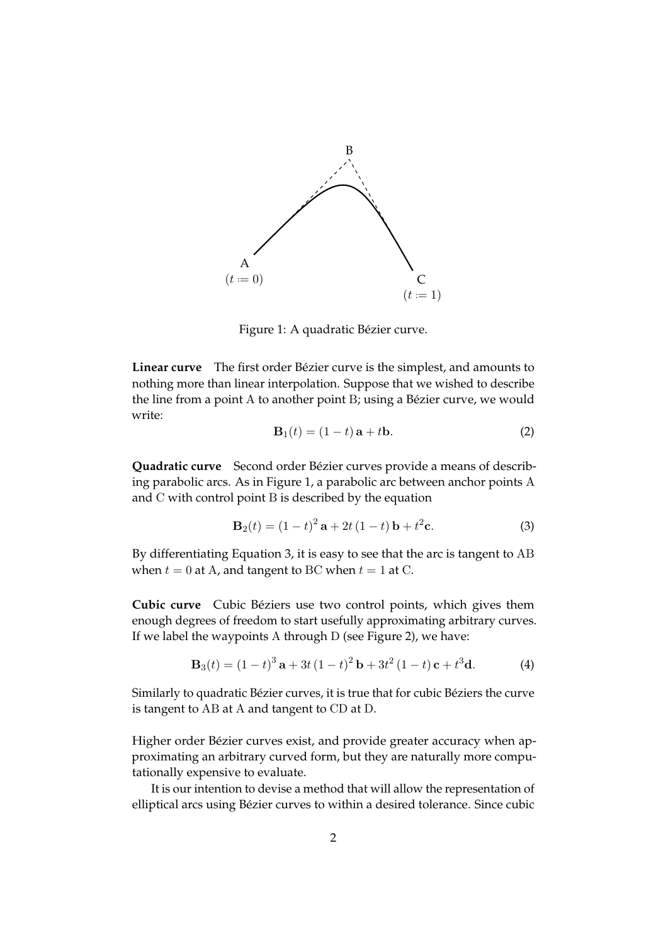

Figure 1: A quadratic Bézier curve.

**Linear curve** The first order Bézier curve is the simplest, and amounts to nothing more than linear interpolation. Suppose that we wished to describe the line from a point A to another point B; using a Bézier curve, we would write:

$$
\mathbf{B}_1(t) = (1 - t)\mathbf{a} + t\mathbf{b}.\tag{2}
$$

**Quadratic curve** Second order Bézier curves provide a means of describing parabolic arcs. As in Figure 1, a parabolic arc between anchor points A and C with control point B is described by the equation

$$
\mathbf{B}_2(t) = (1 - t)^2 \mathbf{a} + 2t (1 - t) \mathbf{b} + t^2 \mathbf{c}.
$$
 (3)

By differentiating Equation 3, it is easy to see that the arc is tangent to AB when  $t = 0$  at A, and tangent to BC when  $t = 1$  at C.

**Cubic curve** Cubic Béziers use two control points, which gives them enough degrees of freedom to start usefully approximating arbitrary curves. If we label the waypoints A through D (see Figure 2), we have:

$$
\mathbf{B}_3(t) = (1-t)^3 \mathbf{a} + 3t (1-t)^2 \mathbf{b} + 3t^2 (1-t) \mathbf{c} + t^3 \mathbf{d}.
$$
 (4)

Similarly to quadratic Bézier curves, it is true that for cubic Béziers the curve is tangent to AB at A and tangent to CD at D.

Higher order Bézier curves exist, and provide greater accuracy when approximating an arbitrary curved form, but they are naturally more computationally expensive to evaluate.

It is our intention to devise a method that will allow the representation of elliptical arcs using Bézier curves to within a desired tolerance. Since cubic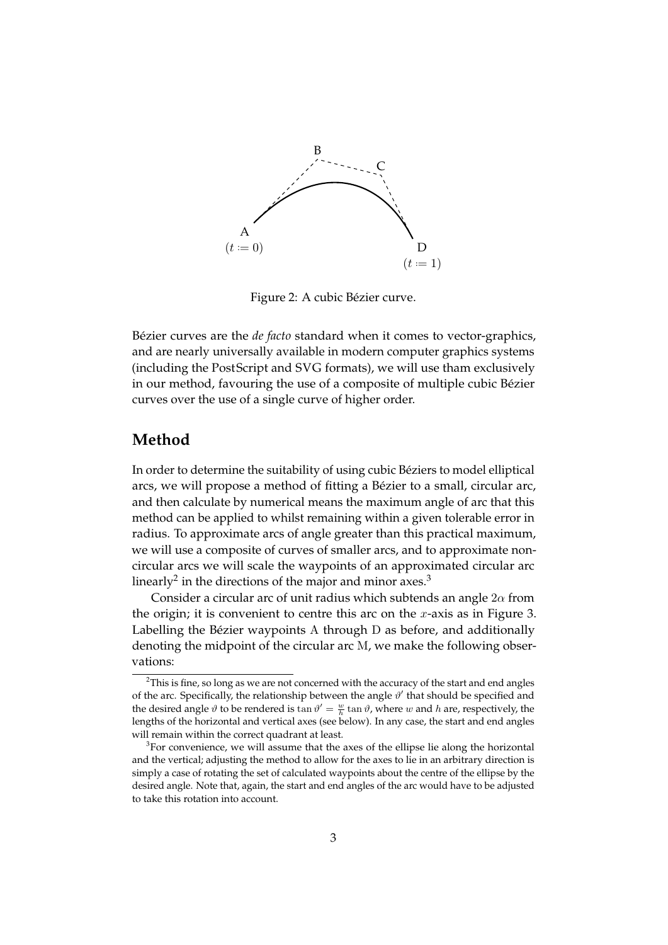

Figure 2: A cubic Bézier curve.

Bézier curves are the *de facto* standard when it comes to vector-graphics, and are nearly universally available in modern computer graphics systems (including the PostScript and SVG formats), we will use tham exclusively in our method, favouring the use of a composite of multiple cubic Bézier curves over the use of a single curve of higher order.

#### **Method**

In order to determine the suitability of using cubic Béziers to model elliptical arcs, we will propose a method of fitting a Bézier to a small, circular arc, and then calculate by numerical means the maximum angle of arc that this method can be applied to whilst remaining within a given tolerable error in radius. To approximate arcs of angle greater than this practical maximum, we will use a composite of curves of smaller arcs, and to approximate noncircular arcs we will scale the waypoints of an approximated circular arc linearly<sup>2</sup> in the directions of the major and minor axes.<sup>3</sup>

Consider a circular arc of unit radius which subtends an angle  $2\alpha$  from the origin; it is convenient to centre this arc on the x-axis as in Figure 3. Labelling the Bézier waypoints A through D as before, and additionally denoting the midpoint of the circular arc M, we make the following observations:

 $2$ This is fine, so long as we are not concerned with the accuracy of the start and end angles of the arc. Specifically, the relationship between the angle  $\vartheta'$  that should be specified and the desired angle  $\vartheta$  to be rendered is  $\tan \vartheta' = \frac{w}{h} \tan \vartheta$ , where w and h are, respectively, the lengths of the horizontal and vertical axes (see below). In any case, the start and end angles will remain within the correct quadrant at least.

 $3$ For convenience, we will assume that the axes of the ellipse lie along the horizontal and the vertical; adjusting the method to allow for the axes to lie in an arbitrary direction is simply a case of rotating the set of calculated waypoints about the centre of the ellipse by the desired angle. Note that, again, the start and end angles of the arc would have to be adjusted to take this rotation into account.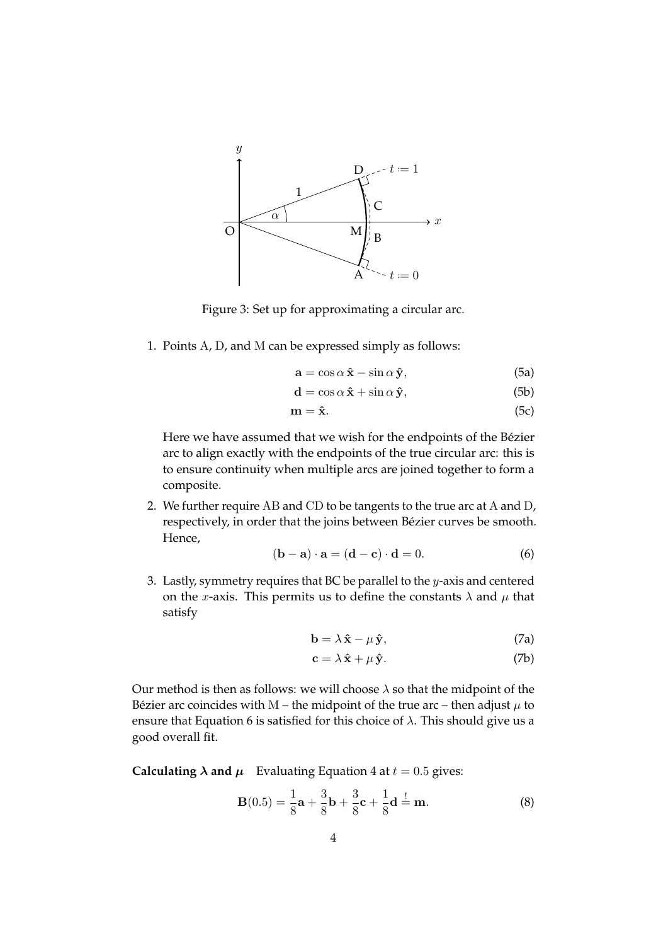

Figure 3: Set up for approximating a circular arc.

1. Points A, D, and M can be expressed simply as follows:

$$
\mathbf{a} = \cos \alpha \, \hat{\mathbf{x}} - \sin \alpha \, \hat{\mathbf{y}},\tag{5a}
$$

$$
\mathbf{d} = \cos \alpha \, \mathbf{\hat{x}} + \sin \alpha \, \mathbf{\hat{y}},\tag{5b}
$$

$$
\mathbf{m} = \hat{\mathbf{x}}.\tag{5c}
$$

Here we have assumed that we wish for the endpoints of the Bézier arc to align exactly with the endpoints of the true circular arc: this is to ensure continuity when multiple arcs are joined together to form a composite.

2. We further require AB and CD to be tangents to the true arc at A and D, respectively, in order that the joins between Bézier curves be smooth. Hence,

$$
(\mathbf{b} - \mathbf{a}) \cdot \mathbf{a} = (\mathbf{d} - \mathbf{c}) \cdot \mathbf{d} = 0.
$$
 (6)

3. Lastly, symmetry requires that BC be parallel to the  $y$ -axis and centered on the x-axis. This permits us to define the constants  $\lambda$  and  $\mu$  that satisfy

$$
\mathbf{b} = \lambda \,\hat{\mathbf{x}} - \mu \,\hat{\mathbf{y}},\tag{7a}
$$

$$
\mathbf{c} = \lambda \, \hat{\mathbf{x}} + \mu \, \hat{\mathbf{y}}.\tag{7b}
$$

Our method is then as follows: we will choose  $\lambda$  so that the midpoint of the Bézier arc coincides with M – the midpoint of the true arc – then adjust  $\mu$  to ensure that Equation 6 is satisfied for this choice of  $\lambda$ . This should give us a good overall fit.

**Calculating**  $\lambda$  **and**  $\mu$  Evaluating Equation 4 at  $t = 0.5$  gives:

$$
\mathbf{B}(0.5) = \frac{1}{8}\mathbf{a} + \frac{3}{8}\mathbf{b} + \frac{3}{8}\mathbf{c} + \frac{1}{8}\mathbf{d} = \mathbf{m}.
$$
 (8)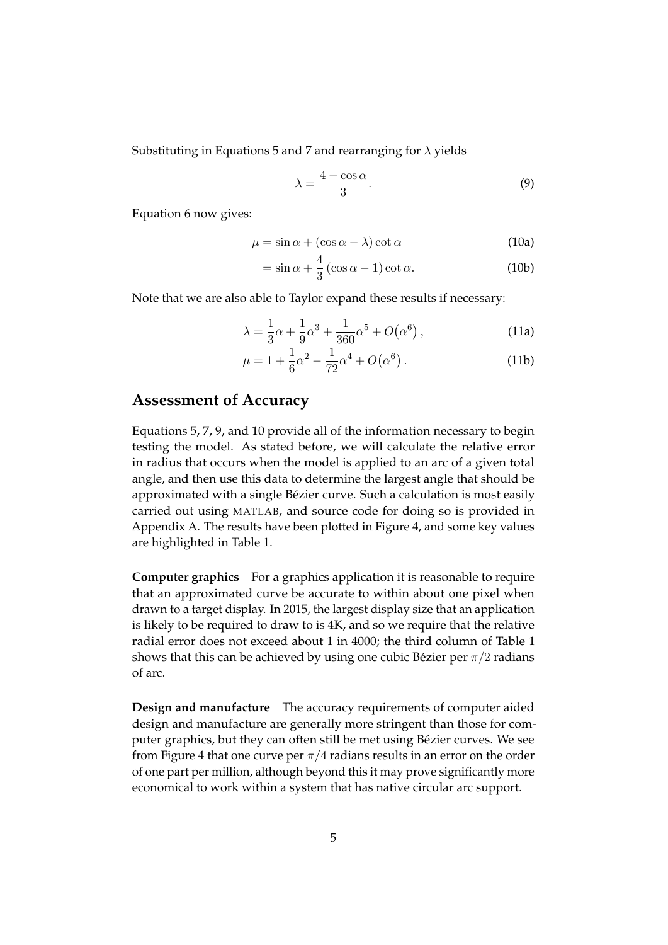Substituting in Equations 5 and 7 and rearranging for  $\lambda$  yields

$$
\lambda = \frac{4 - \cos \alpha}{3}.
$$
\n(9)

Equation 6 now gives:

$$
\mu = \sin \alpha + (\cos \alpha - \lambda) \cot \alpha \tag{10a}
$$

$$
= \sin \alpha + \frac{4}{3} (\cos \alpha - 1) \cot \alpha.
$$
 (10b)

Note that we are also able to Taylor expand these results if necessary:

$$
\lambda = \frac{1}{3}\alpha + \frac{1}{9}\alpha^3 + \frac{1}{360}\alpha^5 + O(\alpha^6) ,\qquad (11a)
$$

$$
\mu = 1 + \frac{1}{6}\alpha^2 - \frac{1}{72}\alpha^4 + O(\alpha^6) \,. \tag{11b}
$$

#### **Assessment of Accuracy**

Equations 5, 7, 9, and 10 provide all of the information necessary to begin testing the model. As stated before, we will calculate the relative error in radius that occurs when the model is applied to an arc of a given total angle, and then use this data to determine the largest angle that should be approximated with a single Bézier curve. Such a calculation is most easily carried out using MATLAB, and source code for doing so is provided in Appendix A. The results have been plotted in Figure 4, and some key values are highlighted in Table 1.

**Computer graphics** For a graphics application it is reasonable to require that an approximated curve be accurate to within about one pixel when drawn to a target display. In 2015, the largest display size that an application is likely to be required to draw to is 4K, and so we require that the relative radial error does not exceed about 1 in 4000; the third column of Table 1 shows that this can be achieved by using one cubic Bézier per  $\pi/2$  radians of arc.

**Design and manufacture** The accuracy requirements of computer aided design and manufacture are generally more stringent than those for computer graphics, but they can often still be met using Bézier curves. We see from Figure 4 that one curve per  $\pi/4$  radians results in an error on the order of one part per million, although beyond this it may prove significantly more economical to work within a system that has native circular arc support.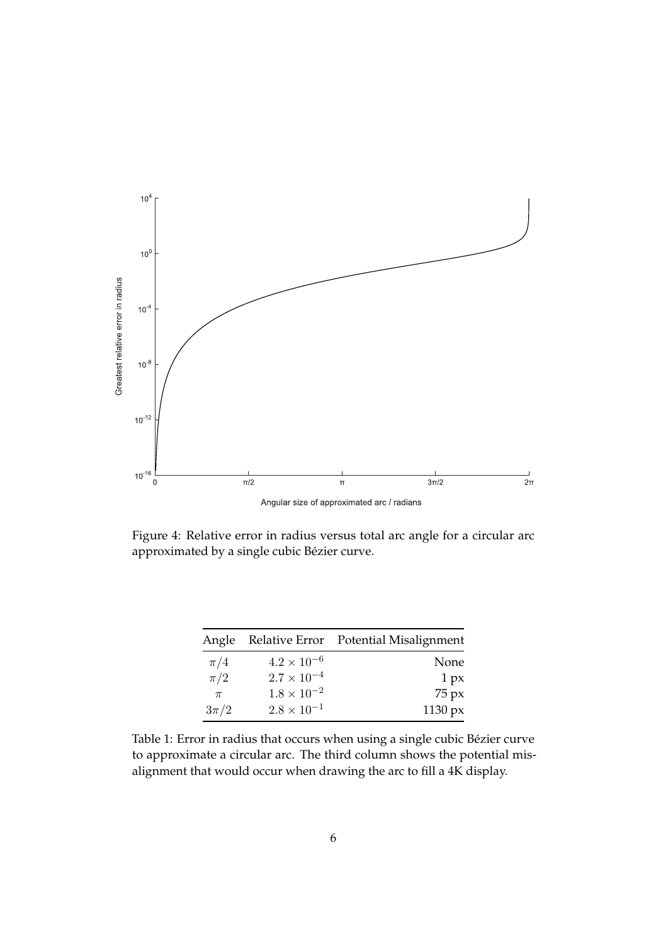

Figure 4: Relative error in radius versus total arc angle for a circular arc approximated by a single cubic Bézier curve.

|          |                      | Angle Relative Error Potential Misalignment |
|----------|----------------------|---------------------------------------------|
| $\pi/4$  | $4.2 \times 10^{-6}$ | None                                        |
| $\pi/2$  | $2.7 \times 10^{-4}$ | $1\,\mathrm{px}$                            |
| $\pi$    | $1.8 \times 10^{-2}$ | $75 \text{ px}$                             |
| $3\pi/2$ | $2.8 \times 10^{-1}$ | $1130\,\mathrm{px}$                         |

Table 1: Error in radius that occurs when using a single cubic Bézier curve to approximate a circular arc. The third column shows the potential misalignment that would occur when drawing the arc to fill a 4K display.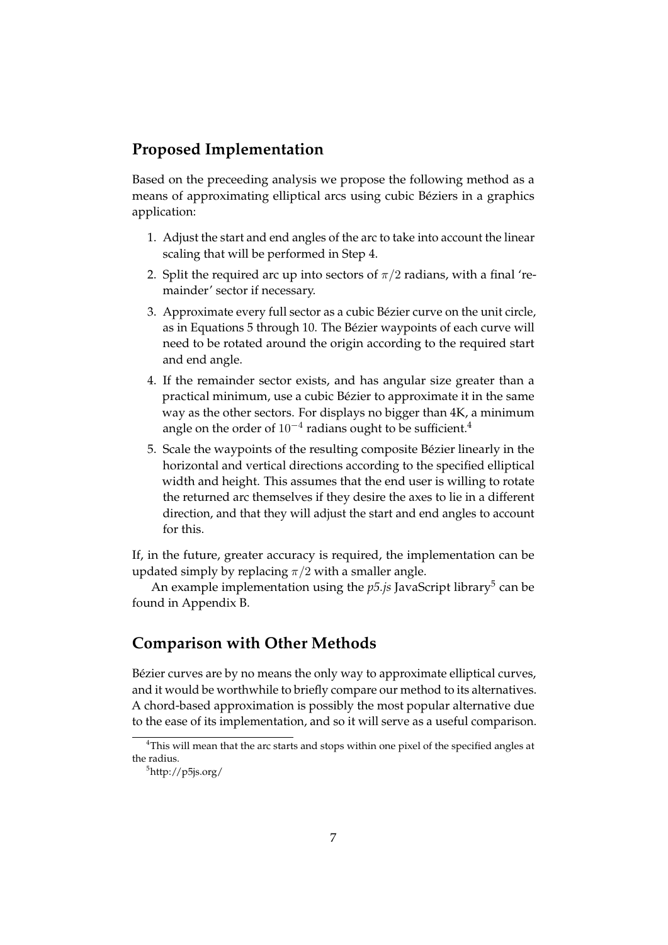#### **Proposed Implementation**

Based on the preceeding analysis we propose the following method as a means of approximating elliptical arcs using cubic Béziers in a graphics application:

- 1. Adjust the start and end angles of the arc to take into account the linear scaling that will be performed in Step 4.
- 2. Split the required arc up into sectors of  $\pi/2$  radians, with a final 'remainder' sector if necessary.
- 3. Approximate every full sector as a cubic Bézier curve on the unit circle, as in Equations 5 through 10. The Bézier waypoints of each curve will need to be rotated around the origin according to the required start and end angle.
- 4. If the remainder sector exists, and has angular size greater than a practical minimum, use a cubic Bézier to approximate it in the same way as the other sectors. For displays no bigger than 4K, a minimum angle on the order of  $10^{-4}$  radians ought to be sufficient.<sup>4</sup>
- 5. Scale the waypoints of the resulting composite Bézier linearly in the horizontal and vertical directions according to the specified elliptical width and height. This assumes that the end user is willing to rotate the returned arc themselves if they desire the axes to lie in a different direction, and that they will adjust the start and end angles to account for this.

If, in the future, greater accuracy is required, the implementation can be updated simply by replacing  $\pi/2$  with a smaller angle.

An example implementation using the p5*.js* JavaScript library<sup>5</sup> can be found in Appendix B.

#### **Comparison with Other Methods**

Bézier curves are by no means the only way to approximate elliptical curves, and it would be worthwhile to briefly compare our method to its alternatives. A chord-based approximation is possibly the most popular alternative due to the ease of its implementation, and so it will serve as a useful comparison.

<sup>&</sup>lt;sup>4</sup>This will mean that the arc starts and stops within one pixel of the specified angles at the radius.

 $5$ http://p5js.org/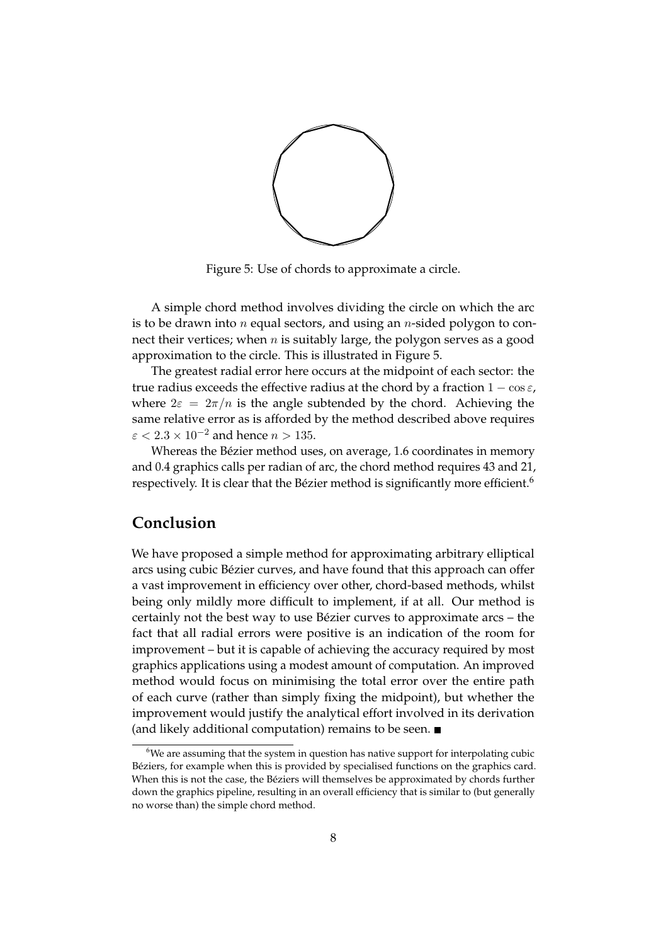

Figure 5: Use of chords to approximate a circle.

A simple chord method involves dividing the circle on which the arc is to be drawn into *n* equal sectors, and using an *n*-sided polygon to connect their vertices; when  $n$  is suitably large, the polygon serves as a good approximation to the circle. This is illustrated in Figure 5.

The greatest radial error here occurs at the midpoint of each sector: the true radius exceeds the effective radius at the chord by a fraction  $1 - \cos \varepsilon$ , where  $2\varepsilon = 2\pi/n$  is the angle subtended by the chord. Achieving the same relative error as is afforded by the method described above requires  $\varepsilon$  < 2.3 × 10<sup>-2</sup> and hence *n* > 135.

Whereas the Bézier method uses, on average, 1.6 coordinates in memory and 0.4 graphics calls per radian of arc, the chord method requires 43 and 21, respectively. It is clear that the Bézier method is significantly more efficient.<sup>6</sup>

## **Conclusion**

We have proposed a simple method for approximating arbitrary elliptical arcs using cubic Bézier curves, and have found that this approach can offer a vast improvement in efficiency over other, chord-based methods, whilst being only mildly more difficult to implement, if at all. Our method is certainly not the best way to use Bézier curves to approximate arcs – the fact that all radial errors were positive is an indication of the room for improvement – but it is capable of achieving the accuracy required by most graphics applications using a modest amount of computation. An improved method would focus on minimising the total error over the entire path of each curve (rather than simply fixing the midpoint), but whether the improvement would justify the analytical effort involved in its derivation (and likely additional computation) remains to be seen.

 $6$ We are assuming that the system in question has native support for interpolating cubic Béziers, for example when this is provided by specialised functions on the graphics card. When this is not the case, the Béziers will themselves be approximated by chords further down the graphics pipeline, resulting in an overall efficiency that is similar to (but generally no worse than) the simple chord method.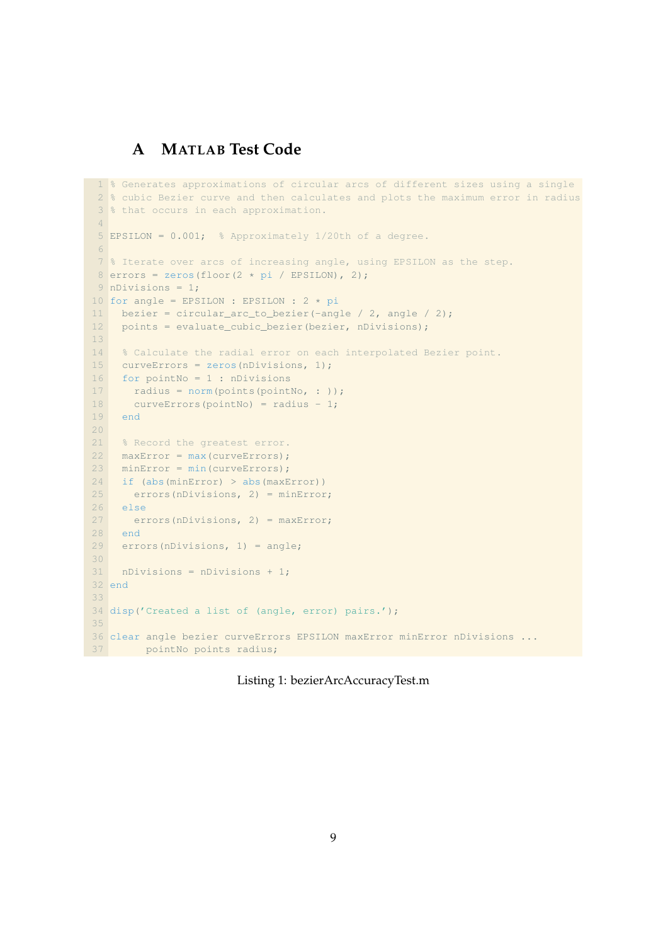# **A MATLAB Test Code**

```
1 % Generates approximations of circular arcs of different sizes using a single
 2 % cubic Bezier curve and then calculates and plots the maximum error in radius
 3 % that occurs in each approximation.
 4
 5 EPSILON = 0.001; % Approximately 1/20th of a degree.
 6
 7 % Iterate over arcs of increasing angle, using EPSILON as the step.
 8 errors = zeros(floor(2 \star pi / EPSILON), 2);
 9 nDivisions = 1;
10 for angle = EPSILON : EPSILON : 2 * pi<br>11 bezier = circular arc to bezier(-ang
   bezier = circular_arc_to_bezier(-angle / 2, angle / 2);
12 points = evaluate_cubic_bezier(bezier, nDivisions);
13
14 % Calculate the radial error on each interpolated Bezier point.
15 curveErrors = zeros(nDivisions, 1);
16 for pointNo = 1 : nDivisions
17 radius = norm(points(pointNo. : ));
18 curveErrors(pointNo) = radius - 1;
19 end
2021 % Record the greatest error.
22 maxError = max(curveErrors);
23 minError = min(curveErrors);
24 if (abs(minError) > abs(maxError))
25 errors(nDivisions, 2) = minError;
26 else
27 errors(nDivisions, 2) = maxError;
28 end
29 errors(nDivisions, 1) = angle;
30
31 nDivisions = nDivisions + 1;
32 end
33
34 disp('Created a list of (angle, error) pairs.');
35
36 clear angle bezier curveErrors EPSILON maxError minError nDivisions ...
37 pointNo points radius;
```
#### Listing 1: bezierArcAccuracyTest.m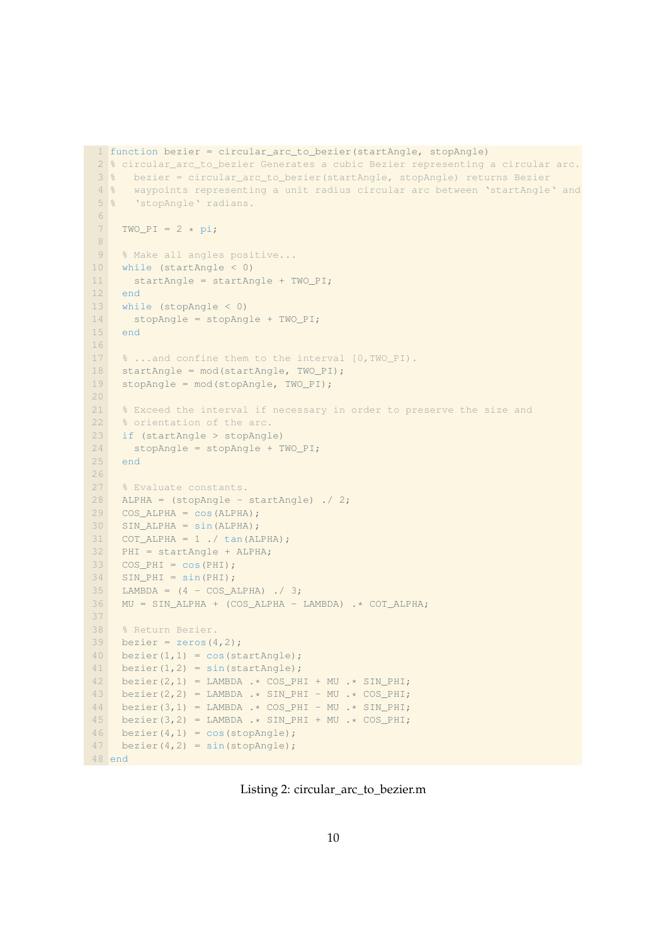```
1 function bezier = circular_arc_to_bezier(startAngle, stopAngle)
 2 % circular_arc_to_bezier Generates a cubic Bezier representing a circular arc.
3 % bezier = circular_arc_to_bezier(startAngle, stopAngle) returns Bezier
4 % waypoints representing a unit radius circular arc between 'startAngle' and
5 % 'stopAngle' radians.
6
7 TWO PI = 2 * pi;
8
9 % Make all angles positive...
10 while (startAngle < 0)
11 startAngle = startAngle + TWO_PI;
12 end
13 while (stopAngle < 0)
14 stopAngle = stopAngle + TWO_PI;
15 end
16
17 % ...and confine them to the interval [0,TWO_PI).
18 startAngle = mod(startAngle, TWO_PI);
19 stopAngle = mod(stopAngle, TWO_PI);
20
21 % Exceed the interval if necessary in order to preserve the size and
22 % orientation of the arc.
23 if (startAngle > stopAngle)
24 stopAngle = stopAngle + TWO_PI;
25 end
26
27 % Evaluate constants.
28 ALPHA = (stopAngle - startAngle) ./ 2;
29 COS_ALPHA = \cos(ALPHA);
30 SIN ALPHA = sin(ALPHA);
31 COT_ALPHA = 1 ./ tan(ALPHA);
32 PHI = startAngle + ALPHA;
33 COS PHI = cos(PHI);
34 SIN_PHI = sin(PHI);
35 LAMBDA = (4 - \text{COS\_ALPHA}) ./ 3;
36 MU = SIN_ALPHA + (COS_ALPHA - LAMBDA) .* COT_ALPHA;
37
38 % Return Bezier.
39 bezier = zeros(4, 2);
40 bezier(1, 1) = cos(startAngle);
41 bezier(1,2) = sin(startAngle);
42 bezier(2,1) = LAMBDA .* COS_PHI + MU .* SIN_PHI;
43 bezier(2,2) = LAMBDA .* SIN_PHI - MU .* COS_PHI;
44 bezier(3,1) = LAMBDA .* COS_PHI - MU .* SIN_PHI;
45 bezier(3,2) = LAMBDA .* SIN_PHI + MU .* COS_PHI;
46 bezier(4, 1) = cos(stopAngle);
47 bezier(4, 2) = sin(stopAngle);
```
Listing 2: circular\_arc\_to\_bezier.m

end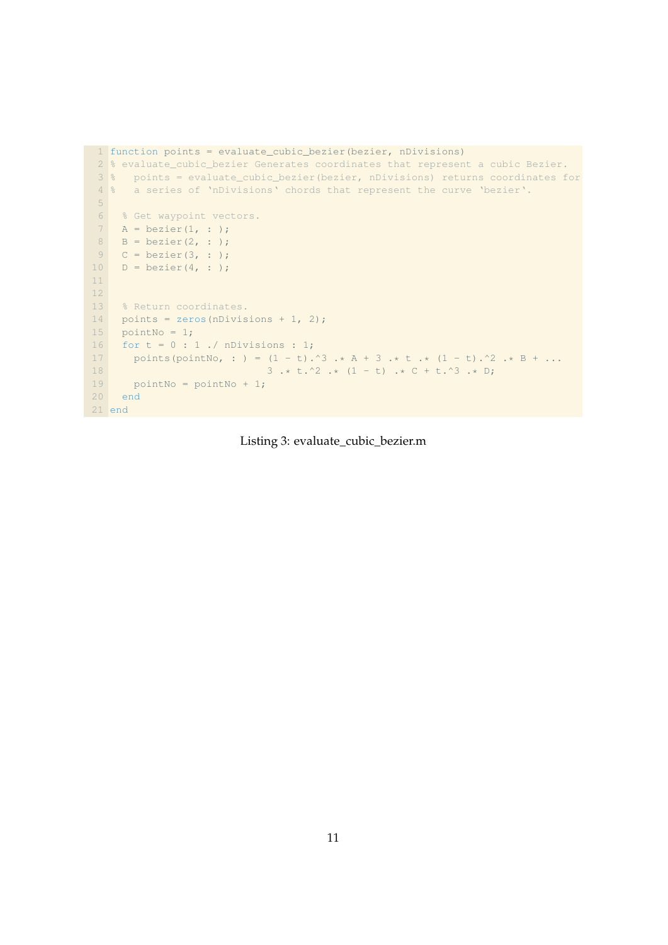```
1 function points = evaluate_cubic_bezier(bezier, nDivisions)
 2 % evaluate_cubic_bezier Generates coordinates that represent a cubic Bezier.
 3 % points = evaluate_cubic_bezier(bezier, nDivisions) returns coordinates for
 4 % a series of 'nDivisions' chords that represent the curve 'bezier'.
 5
 6 % Get waypoint vectors.
 7 A = bezier(1, : );
 8 B = bezier(2, : );
 9 \quad C = \text{bezier}(3, :);10 D = \text{bezier}(4, :);11
12
13 % Return coordinates.
14 points = zeros(nDivisions + 1, 2);
15 pointNo = 1;
16 for t = 0 : 1 ./ nDivisions : 1;
17 points(pointNo, : ) = (1 - t) \cdot 3 \cdot * A + 3 \cdot * t \cdot * (1 - t) \cdot 2 \cdot * B + \dots<br>
3 \cdot * t \cdot 2 \cdot * (1 - t) \cdot * C + t \cdot 3 \cdot * D;3 .* t.^2 .* (1 - t) .* C + t.^3 .* D;
19 pointNo = pointNo + 1;
20 end
21 end
```
#### Listing 3: evaluate\_cubic\_bezier.m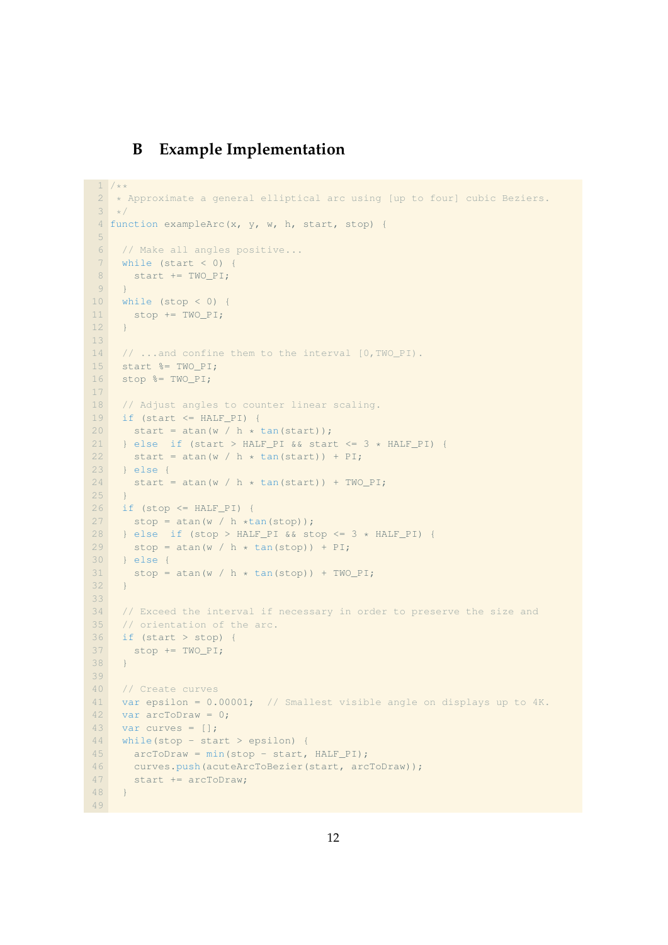## **B Example Implementation**

```
1 / * *2 * Approximate a general elliptical arc using [up to four] cubic Beziers.
3 * /4 function exampleArc(x, y, w, h, start, stop) {
5
6 // Make all angles positive...
7 while (start < 0) {
8 start += TWO_PI;
\overline{9}10 while (stop < 0) {
11 stop += TWO_PI;
12 }
13
14 // ...and confine them to the interval [0,TWO_PI).
15 start %= TWO_PI;
16 stop %= TWO_PI;
17
18 // Adjust angles to counter linear scaling.
19 if (start <= HALF_PI) {
20 start = atan(w / h * tan(start));
21 } else if (start > HALF_PI && start <= 3 * HALF_PI) {
22 start = atan(w / h * tan(start)) + PI;
23 } else {
24 start = atan(w / h * tan(start)) + TWO_PI;
25 }
26 if (stop \leq HALF_PI) {
27 stop = atan(w / h * tan(stop));28 } else if (stop > HALF_PI & stop <= 3 * HALF_PI) {<br>
29 <br>
stop = atan(w / h * tan(stop)) + PI;
29 stop = atan(w / h * tan(stop)) + PI;<br>30 } else {
     30 } else {
31 stop = \text{atan}(w / h * \text{tan}(\text{stop})) + \text{Two PI};32 }
33
34 // Exceed the interval if necessary in order to preserve the size and
35 // orientation of the arc.
36 if (start > stop) {
37 stop += TWO_PI;
38 }
39
40 // Create curves
41 var epsilon = 0.00001; // Smallest visible angle on displays up to 4K.
42 var arcToDraw = 0;
43 var curves = [];
44 while(stop - start > epsilon) {
45 arcToDraw = min(stop - start, HALF_PI);
46 curves.push(acuteArcToBezier(start, arcToDraw));
47 start += arcToDraw;
48 }
49
```